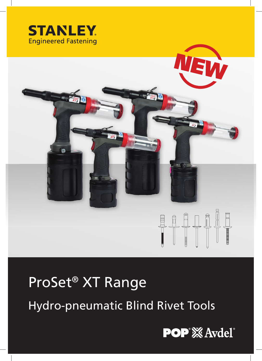



# ProSet® XT Range

Hydro-pneumatic Blind Rivet Tools

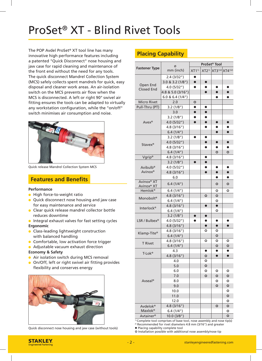## ProSet® XT - Blind Rivet Tools

The POP Avdel ProSet® XT tool line has many innovative high performance features including a patented "Quick Disconnect" nose housing and jaw case for rapid cleaning and maintenance of the front end without the need for any tools. The quick disconnect Mandrel Collection System (MCS) safely collects spent mandrels for quick, easy disposal and cleaner work areas. An air-isolation switch on the MCS prevents air flow when the MCS is disconnected. A left or right 90° swivel air fitting ensures the tools can be adapted to virtually any workstation configuration, while the "on/off" switch minimises air consumption and noise.



Quick release Mandrel Collection System MCS

## **Features and Benefits**

#### **Performance**

- **High force-to-weight ratio**
- **Quick disconnect nose housing and jaw case** for easy maintenance and service
- **Clear quick release mandrel collector bottle** reduces downtime
- $\bullet$  Integral exhaust valves for fast setting cycles **Ergonomic**
- **Class-leading lightweight construction** with balanced handling
- **Comfortable, low activation force trigger**
- **•** Adjustable vacuum exhaust direction

#### **Economy & Safety**

- **Air isolation switch during MCS removal**
- On/Off, left or right swivel air fitting provides flexibility and conserves energy



Quick disconnect nose housing and jaw case (without tools)

## **Placing Capability**

| Ø<br><b>Fastener Type</b>            |                      | ProSet <sup>®</sup> Tool |           |           |                                                           |
|--------------------------------------|----------------------|--------------------------|-----------|-----------|-----------------------------------------------------------|
|                                      | mm (inch)            | XT1 <sup>1</sup>         |           |           | XT2 <sup>1)</sup> XT3 <sup>1)2)</sup> XT4 <sup>1)2)</sup> |
|                                      | 2.4(3/32")           | $\bullet$                |           |           |                                                           |
| Open End                             | 3.0 & 3.2(1/8")      | $\bullet$                | $\bullet$ |           |                                                           |
| <b>Closed End</b>                    | 4.0(5/32")           | ●                        | O         | $\bullet$ | ●                                                         |
|                                      | 4.8 & 5.0 (3/16")    |                          | $\bullet$ | $\bullet$ | $\bullet$                                                 |
|                                      | $6.0$ & $6.4$ (1/4") |                          |           |           |                                                           |
| <b>Micro Rivet</b>                   | 2.0                  | $\circ$                  |           |           |                                                           |
| Pull-Thru (PT)                       | 3.2(1/8")            | $\bullet$                | $\bullet$ |           |                                                           |
|                                      | 3.0                  | $\bullet$                | $\bullet$ |           |                                                           |
|                                      | 3.2(1/8")            | $\bullet$                | $\bullet$ |           |                                                           |
| $A$ vex $^{\circledR}$               | 4.0 (5/32")          | $\bullet$                | $\bullet$ | $\bullet$ | $\bullet$                                                 |
|                                      | 4.8(3/16")           |                          |           |           |                                                           |
|                                      | 6.4(1/4")            |                          |           | $\bullet$ | $\bullet$                                                 |
|                                      | 3.2(1/8")            | $\bullet$                | $\bullet$ |           |                                                           |
|                                      | 4.0(5/32")           |                          | $\bullet$ | $\bullet$ |                                                           |
| Stavex <sup>®</sup>                  | 4.8(3/16")           |                          | ●         | ο.        |                                                           |
|                                      | 6.4(1/4")            |                          |           | $\circ$   | $\circ$                                                   |
| Vgrip®                               | 4.8(3/16")           |                          | $\bullet$ |           |                                                           |
|                                      | 3.2(1/8")            |                          | $\bullet$ |           |                                                           |
| Avibulb <sup>®</sup>                 | 4.0(5/32")           |                          | 0         | $\bullet$ |                                                           |
| Avinox <sup>®</sup>                  | 4.8(3/16")           |                          | n         | $\bullet$ | $\bullet$                                                 |
|                                      | 6.0                  |                          |           | $\bullet$ | $\bullet$                                                 |
| Avinox <sup>®</sup> XT<br>Avinox® XT | 6.4(1/4")            |                          |           | O         | $\circ$                                                   |
| Hemlok®                              | 6.4(1/4")            |                          |           | ο         | ٥                                                         |
|                                      | 4.8(3/16")           |                          | $\circ$   | $\circ$   |                                                           |
| Monobolt <sup>®</sup>                | 6.4(1/4")            |                          |           | ٥         |                                                           |
| <b>Interlock®</b>                    | 4.8(3/16")           |                          | $\bullet$ | $\bullet$ |                                                           |
|                                      | 6.4(1/4")            |                          |           | O         |                                                           |
|                                      | 3.2(1/8")            | $\bullet$                | $\bullet$ |           |                                                           |
| LSR / Bulbex®                        | 4.0 (5/32")          |                          | $\bullet$ | $\bullet$ | $\bullet$                                                 |
|                                      | 4.8(3/16")           |                          | $\bullet$ | $\bullet$ | $\bullet$                                                 |
|                                      | 4.8(3/16")           |                          | $\circ$   | $\circ$   |                                                           |
| Klamp-Tite®                          | 6.4(1/4")            |                          |           | $\circ$   |                                                           |
| <b>T</b> Rivet                       | 4.8(3/16")           |                          | o         | $\circ$   |                                                           |
|                                      | 6.4(1/4")            |                          |           | $\circ$   | $\circ$                                                   |
| T-Lok <sup>®</sup>                   | 4.3                  |                          | ●         | ●         | ●                                                         |
|                                      | 4.8(3/16")           |                          | $\circ$   | $\bullet$ | $\bullet$                                                 |
|                                      | 4.0                  |                          | O         |           |                                                           |
|                                      | 5.0                  |                          | $\bullet$ |           |                                                           |
|                                      | 6.0                  |                          | O         | ٥         | O                                                         |
|                                      | 7.0                  |                          | $\circ$   | $\circ$   | $\circ$                                                   |
| Avseal®                              | 8.0                  |                          |           | O         | O                                                         |
|                                      | 9.0                  |                          |           | $\circ$   | $\circ$                                                   |
|                                      | 10.0                 |                          |           |           | O                                                         |
|                                      | 11.0                 |                          |           |           | $\mathsf{o}$                                              |
|                                      | 12.0                 |                          |           |           | O                                                         |
| Avdelok <sup>®</sup>                 | 4.8(3/16")           |                          |           | $\circ$   | $\circ$                                                   |
| Maxlok <sup>®</sup>                  | 6.4(1/4")            |                          |           |           | O                                                         |
| Avtainer®                            | 10.0 (3/8")          |                          |           |           | Ο                                                         |

 $\overline{10}$  Complete tool comprises of base tool, nose assembly and nose tip(s)  $2)$  Recommended for rivet diameters 4.8 mm (3/16") and greater

Placing capability complete tool

O Installation possible with additional nose assembly/nose tip

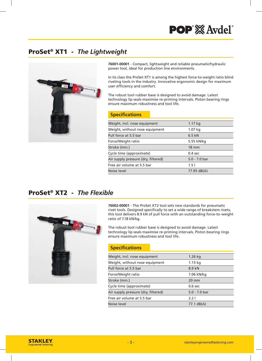## ProSet® XT1 - *The Lightweight*



**76001-00001** - Compact, lightweight and reliable pneumatic/hydraulic power tool, ideal for production line environments.

In its class the ProSet XT1 is among the highest force-to-weight ratio blind riveting tools in the industry. Innovative ergonomic design for maximum user efficiency and comfort.

The robust tool rubber base is designed to avoid damage. Latest technology lip seals maximise re-priming intervals. Piston bearing rings ensure maximum robustness and tool life.

#### **Specifi cations**

| Weight, incl. nose equipment        | 1.17 kg         |
|-------------------------------------|-----------------|
| Weight, without nose equipment      | 1.07 kg         |
| Pull force at 5.5 bar               | $6.5$ kN        |
| Force/Weight ratio                  | 5.55 kN/kg      |
| Stroke (min.)                       | $18 \text{ mm}$ |
| Cycle time (approximate)            | $0.4$ sec       |
| Air supply pressure (dry, filtered) | $5.0 - 7.0$ bar |
| Free air volume at 5.5 bar          | 1.51            |
| Noise level                         | 77.95 dB(A)     |
|                                     |                 |

## ProSet® XT2 - *The Flexible*



**76002-00001** - The ProSet XT2 tool sets new standards for pneumatic rivet tools. Designed specifically to set a wide range of breakstem rivets, this tool delivers 8.9 kN of pull force with an outstanding force-to-weight ratio of 7.18 kN/kg.

The robust tool rubber base is designed to avoid damage. Latest technology lip seals maximise re-priming intervals. Piston bearing rings ensure maximum robustness and tool life.

### **Specifi cations**

| Weight, incl. nose equipment        | $1.26$ kg       |
|-------------------------------------|-----------------|
| Weight, without nose equipment      | 1.15 kg         |
| Pull force at 5.5 bar               | 8.9 kN          |
| Force/Weight ratio                  | 7.06 kN/kg      |
| Stroke (min.)                       | $20 \text{ mm}$ |
| Cycle time (approximate)            | $0.6$ sec       |
| Air supply pressure (dry, filtered) | $5.0 - 7.0$ bar |
| Free air volume at 5.5 bar          | $2.2$ l         |
| Noise level                         | 77.1 dB(A)      |